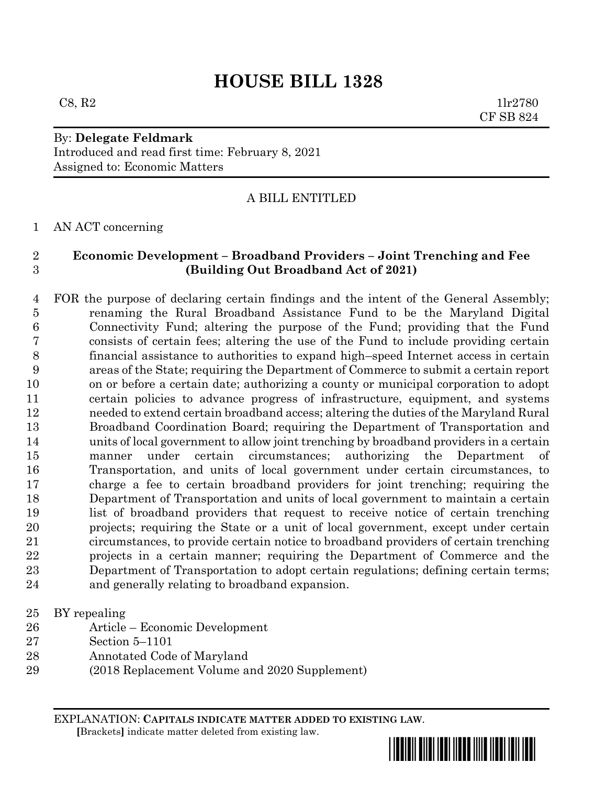# **HOUSE BILL 1328**

 $C8, R2$  1lr2780 CF SB 824

## By: **Delegate Feldmark** Introduced and read first time: February 8, 2021 Assigned to: Economic Matters

# A BILL ENTITLED

AN ACT concerning

## **Economic Development – Broadband Providers – Joint Trenching and Fee (Building Out Broadband Act of 2021)**

 FOR the purpose of declaring certain findings and the intent of the General Assembly; renaming the Rural Broadband Assistance Fund to be the Maryland Digital Connectivity Fund; altering the purpose of the Fund; providing that the Fund consists of certain fees; altering the use of the Fund to include providing certain financial assistance to authorities to expand high–speed Internet access in certain areas of the State; requiring the Department of Commerce to submit a certain report on or before a certain date; authorizing a county or municipal corporation to adopt certain policies to advance progress of infrastructure, equipment, and systems needed to extend certain broadband access; altering the duties of the Maryland Rural Broadband Coordination Board; requiring the Department of Transportation and units of local government to allow joint trenching by broadband providers in a certain manner under certain circumstances; authorizing the Department of Transportation, and units of local government under certain circumstances, to charge a fee to certain broadband providers for joint trenching; requiring the Department of Transportation and units of local government to maintain a certain list of broadband providers that request to receive notice of certain trenching projects; requiring the State or a unit of local government, except under certain circumstances, to provide certain notice to broadband providers of certain trenching projects in a certain manner; requiring the Department of Commerce and the Department of Transportation to adopt certain regulations; defining certain terms; and generally relating to broadband expansion.

## BY repealing

- Article Economic Development
- Section 5–1101
- Annotated Code of Maryland
- (2018 Replacement Volume and 2020 Supplement)

EXPLANATION: **CAPITALS INDICATE MATTER ADDED TO EXISTING LAW**.  **[**Brackets**]** indicate matter deleted from existing law.

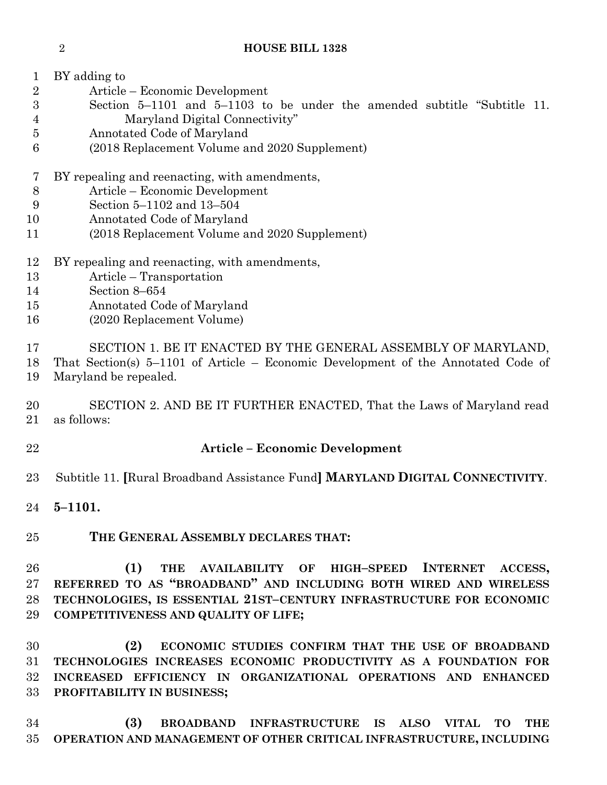- 
- BY adding to
- Article Economic Development
- Section 5–1101 and 5–1103 to be under the amended subtitle "Subtitle 11. Maryland Digital Connectivity"
- Annotated Code of Maryland
- (2018 Replacement Volume and 2020 Supplement)
- BY repealing and reenacting, with amendments,
- Article Economic Development
- Section 5–1102 and 13–504
- Annotated Code of Maryland
- (2018 Replacement Volume and 2020 Supplement)
- BY repealing and reenacting, with amendments,
- Article Transportation
- Section 8–654
- Annotated Code of Maryland
- (2020 Replacement Volume)
- SECTION 1. BE IT ENACTED BY THE GENERAL ASSEMBLY OF MARYLAND,
- That Section(s) 5–1101 of Article Economic Development of the Annotated Code of
- Maryland be repealed.
- SECTION 2. AND BE IT FURTHER ENACTED, That the Laws of Maryland read as follows:
- 

# **Article – Economic Development**

- Subtitle 11. **[**Rural Broadband Assistance Fund**] MARYLAND DIGITAL CONNECTIVITY**.
- **5–1101.**

# **THE GENERAL ASSEMBLY DECLARES THAT:**

 **(1) THE AVAILABILITY OF HIGH–SPEED INTERNET ACCESS, REFERRED TO AS "BROADBAND" AND INCLUDING BOTH WIRED AND WIRELESS TECHNOLOGIES, IS ESSENTIAL 21ST–CENTURY INFRASTRUCTURE FOR ECONOMIC COMPETITIVENESS AND QUALITY OF LIFE;**

 **(2) ECONOMIC STUDIES CONFIRM THAT THE USE OF BROADBAND TECHNOLOGIES INCREASES ECONOMIC PRODUCTIVITY AS A FOUNDATION FOR INCREASED EFFICIENCY IN ORGANIZATIONAL OPERATIONS AND ENHANCED PROFITABILITY IN BUSINESS;**

 **(3) BROADBAND INFRASTRUCTURE IS ALSO VITAL TO THE OPERATION AND MANAGEMENT OF OTHER CRITICAL INFRASTRUCTURE, INCLUDING**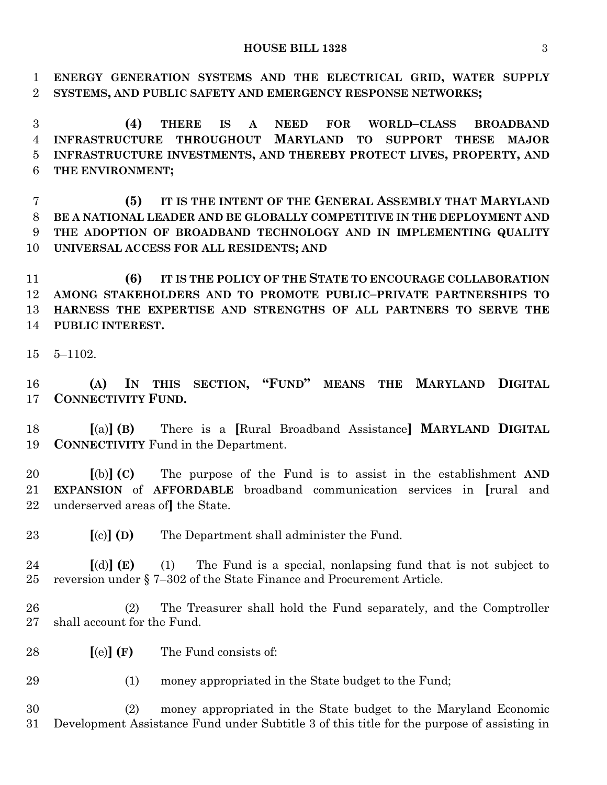#### **HOUSE BILL 1328** 3

 **ENERGY GENERATION SYSTEMS AND THE ELECTRICAL GRID, WATER SUPPLY SYSTEMS, AND PUBLIC SAFETY AND EMERGENCY RESPONSE NETWORKS;**

 **(4) THERE IS A NEED FOR WORLD–CLASS BROADBAND INFRASTRUCTURE THROUGHOUT MARYLAND TO SUPPORT THESE MAJOR INFRASTRUCTURE INVESTMENTS, AND THEREBY PROTECT LIVES, PROPERTY, AND THE ENVIRONMENT;**

 **(5) IT IS THE INTENT OF THE GENERAL ASSEMBLY THAT MARYLAND BE A NATIONAL LEADER AND BE GLOBALLY COMPETITIVE IN THE DEPLOYMENT AND THE ADOPTION OF BROADBAND TECHNOLOGY AND IN IMPLEMENTING QUALITY UNIVERSAL ACCESS FOR ALL RESIDENTS; AND**

 **(6) IT IS THE POLICY OF THE STATE TO ENCOURAGE COLLABORATION AMONG STAKEHOLDERS AND TO PROMOTE PUBLIC–PRIVATE PARTNERSHIPS TO HARNESS THE EXPERTISE AND STRENGTHS OF ALL PARTNERS TO SERVE THE PUBLIC INTEREST.**

5–1102.

 **(A) IN THIS SECTION, "FUND" MEANS THE MARYLAND DIGITAL CONNECTIVITY FUND.**

 **[**(a)**] (B)** There is a **[**Rural Broadband Assistance**] MARYLAND DIGITAL CONNECTIVITY** Fund in the Department.

 **[**(b)**] (C)** The purpose of the Fund is to assist in the establishment **AND EXPANSION** of **AFFORDABLE** broadband communication services in **[**rural and underserved areas of**]** the State.

**[**(c)**] (D)** The Department shall administer the Fund.

 **[**(d)**] (E)** (1) The Fund is a special, nonlapsing fund that is not subject to reversion under § 7–302 of the State Finance and Procurement Article.

 (2) The Treasurer shall hold the Fund separately, and the Comptroller shall account for the Fund.

**[**(e)**] (F)** The Fund consists of:

(1) money appropriated in the State budget to the Fund;

 (2) money appropriated in the State budget to the Maryland Economic Development Assistance Fund under Subtitle 3 of this title for the purpose of assisting in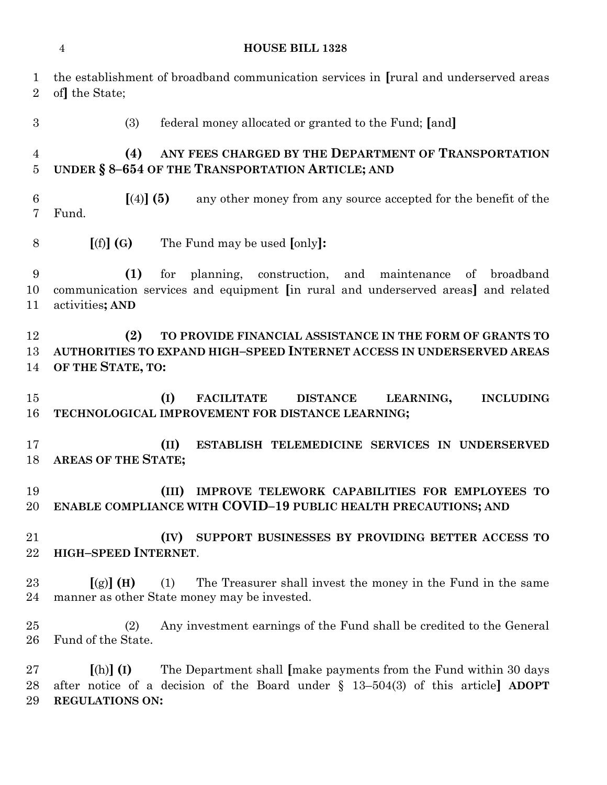|                                  | <b>HOUSE BILL 1328</b><br>$\overline{4}$                                                                                                                                                        |
|----------------------------------|-------------------------------------------------------------------------------------------------------------------------------------------------------------------------------------------------|
| $\mathbf 1$<br>$\overline{2}$    | the establishment of broadband communication services in [rural and underserved areas<br>of the State;                                                                                          |
| $\boldsymbol{3}$                 | (3)<br>federal money allocated or granted to the Fund; [and]                                                                                                                                    |
| $\overline{4}$<br>$\overline{5}$ | ANY FEES CHARGED BY THE DEPARTMENT OF TRANSPORTATION<br>(4)<br>UNDER § 8-654 OF THE TRANSPORTATION ARTICLE; AND                                                                                 |
| 6<br>7                           | $(4)$ (5)<br>any other money from any source accepted for the benefit of the<br>Fund.                                                                                                           |
| 8                                | [(f)](G)<br>The Fund may be used [only]:                                                                                                                                                        |
| 9<br>10<br>11                    | (1)<br>for planning, construction, and<br>maintenance<br>of broadband<br>communication services and equipment [in rural and underserved areas] and related<br>activities; AND                   |
| 12<br>13<br>14                   | (2)<br>TO PROVIDE FINANCIAL ASSISTANCE IN THE FORM OF GRANTS TO<br>AUTHORITIES TO EXPAND HIGH-SPEED INTERNET ACCESS IN UNDERSERVED AREAS<br>OF THE STATE, TO:                                   |
| 15<br>16                         | (I)<br><b>FACILITATE</b><br>LEARNING,<br><b>INCLUDING</b><br><b>DISTANCE</b><br>TECHNOLOGICAL IMPROVEMENT FOR DISTANCE LEARNING;                                                                |
| 17<br>18                         | (II)<br>ESTABLISH TELEMEDICINE SERVICES IN UNDERSERVED<br><b>AREAS OF THE STATE;</b>                                                                                                            |
| 19<br>20                         | IMPROVE TELEWORK CAPABILITIES FOR EMPLOYEES TO<br>(III)<br>ENABLE COMPLIANCE WITH COVID-19 PUBLIC HEALTH PRECAUTIONS; AND                                                                       |
| 21<br>22                         | SUPPORT BUSINESSES BY PROVIDING BETTER ACCESS TO<br>(IV)<br><b>HIGH-SPEED INTERNET.</b>                                                                                                         |
| $23\,$<br>24                     | $[(g)]$ (H)<br>(1)<br>The Treasurer shall invest the money in the Fund in the same<br>manner as other State money may be invested.                                                              |
| $25\,$<br>26                     | Any investment earnings of the Fund shall be credited to the General<br>(2)<br>Fund of the State.                                                                                               |
| $27\,$<br>28<br>29               | The Department shall [make payments from the Fund within 30 days<br>$[(h)]$ (I)<br>after notice of a decision of the Board under $\S$ 13-504(3) of this article ADOPT<br><b>REGULATIONS ON:</b> |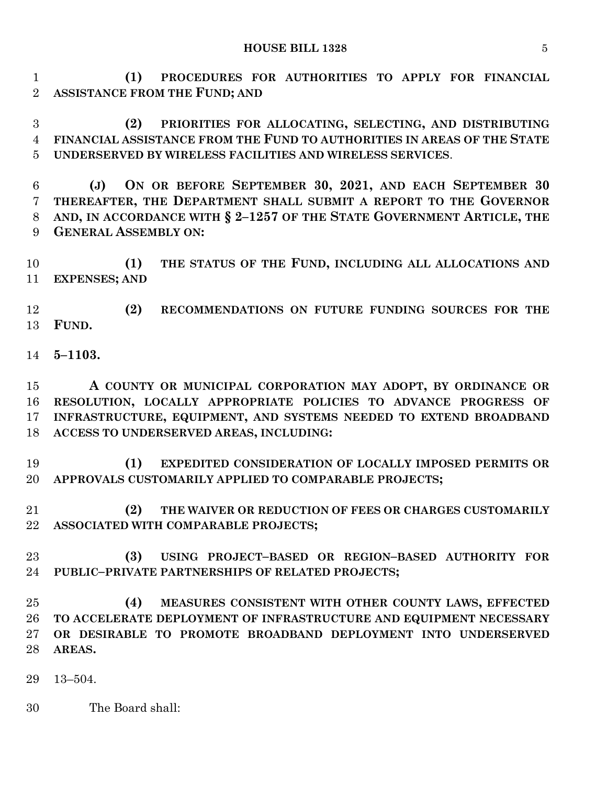## **HOUSE BILL 1328** 5

 **(1) PROCEDURES FOR AUTHORITIES TO APPLY FOR FINANCIAL ASSISTANCE FROM THE FUND; AND**

 **(2) PRIORITIES FOR ALLOCATING, SELECTING, AND DISTRIBUTING FINANCIAL ASSISTANCE FROM THE FUND TO AUTHORITIES IN AREAS OF THE STATE UNDERSERVED BY WIRELESS FACILITIES AND WIRELESS SERVICES**.

 **(J) ON OR BEFORE SEPTEMBER 30, 2021, AND EACH SEPTEMBER 30 THEREAFTER, THE DEPARTMENT SHALL SUBMIT A REPORT TO THE GOVERNOR AND, IN ACCORDANCE WITH § 2–1257 OF THE STATE GOVERNMENT ARTICLE, THE GENERAL ASSEMBLY ON:**

 **(1) THE STATUS OF THE FUND, INCLUDING ALL ALLOCATIONS AND EXPENSES; AND** 

 **(2) RECOMMENDATIONS ON FUTURE FUNDING SOURCES FOR THE FUND.**

**5–1103.**

 **A COUNTY OR MUNICIPAL CORPORATION MAY ADOPT, BY ORDINANCE OR RESOLUTION, LOCALLY APPROPRIATE POLICIES TO ADVANCE PROGRESS OF INFRASTRUCTURE, EQUIPMENT, AND SYSTEMS NEEDED TO EXTEND BROADBAND ACCESS TO UNDERSERVED AREAS, INCLUDING:**

 **(1) EXPEDITED CONSIDERATION OF LOCALLY IMPOSED PERMITS OR APPROVALS CUSTOMARILY APPLIED TO COMPARABLE PROJECTS;**

 **(2) THE WAIVER OR REDUCTION OF FEES OR CHARGES CUSTOMARILY ASSOCIATED WITH COMPARABLE PROJECTS;**

 **(3) USING PROJECT–BASED OR REGION–BASED AUTHORITY FOR PUBLIC–PRIVATE PARTNERSHIPS OF RELATED PROJECTS;**

 **(4) MEASURES CONSISTENT WITH OTHER COUNTY LAWS, EFFECTED TO ACCELERATE DEPLOYMENT OF INFRASTRUCTURE AND EQUIPMENT NECESSARY OR DESIRABLE TO PROMOTE BROADBAND DEPLOYMENT INTO UNDERSERVED AREAS.**

13–504.

The Board shall: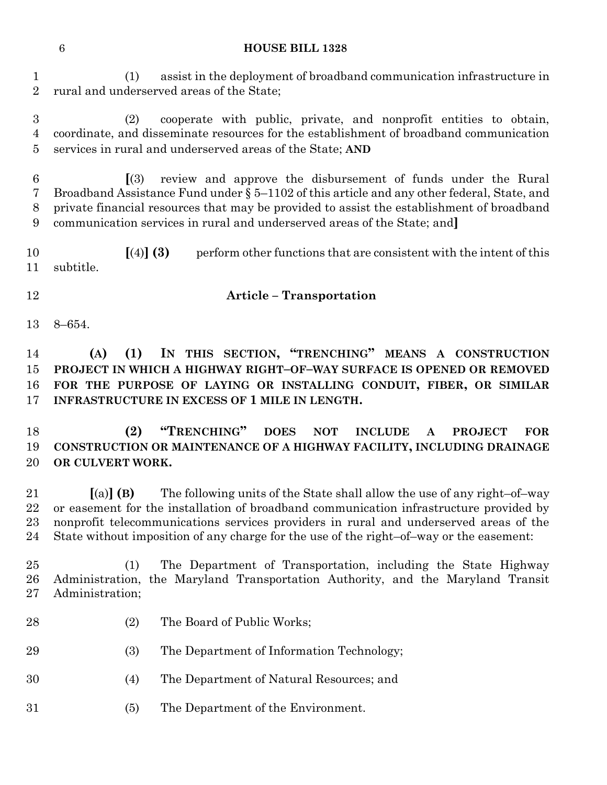#### **HOUSE BILL 1328**

 (1) assist in the deployment of broadband communication infrastructure in rural and underserved areas of the State;

 (2) cooperate with public, private, and nonprofit entities to obtain, coordinate, and disseminate resources for the establishment of broadband communication services in rural and underserved areas of the State; **AND**

 **[**(3) review and approve the disbursement of funds under the Rural Broadband Assistance Fund under § 5–1102 of this article and any other federal, State, and private financial resources that may be provided to assist the establishment of broadband communication services in rural and underserved areas of the State; and**]**

 **[**(4)**] (3)** perform other functions that are consistent with the intent of this subtitle.

## **Article – Transportation**

8–654.

 **(A) (1) IN THIS SECTION, "TRENCHING" MEANS A CONSTRUCTION PROJECT IN WHICH A HIGHWAY RIGHT–OF–WAY SURFACE IS OPENED OR REMOVED FOR THE PURPOSE OF LAYING OR INSTALLING CONDUIT, FIBER, OR SIMILAR INFRASTRUCTURE IN EXCESS OF 1 MILE IN LENGTH.**

 **(2) "TRENCHING" DOES NOT INCLUDE A PROJECT FOR CONSTRUCTION OR MAINTENANCE OF A HIGHWAY FACILITY, INCLUDING DRAINAGE OR CULVERT WORK.**

 **[**(a)**] (B)** The following units of the State shall allow the use of any right–of–way or easement for the installation of broadband communication infrastructure provided by nonprofit telecommunications services providers in rural and underserved areas of the State without imposition of any charge for the use of the right–of–way or the easement:

 (1) The Department of Transportation, including the State Highway Administration, the Maryland Transportation Authority, and the Maryland Transit Administration;

- (2) The Board of Public Works;
- (3) The Department of Information Technology;
- (4) The Department of Natural Resources; and
- (5) The Department of the Environment.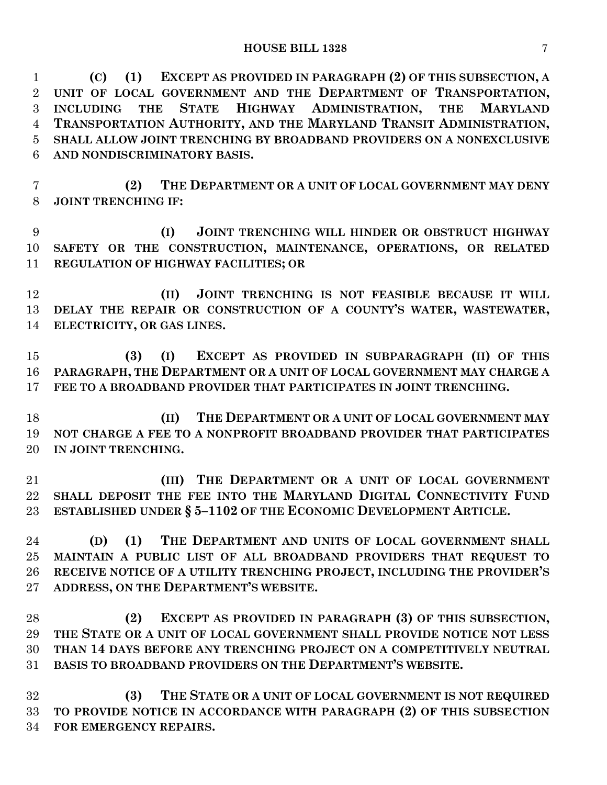**(C) (1) EXCEPT AS PROVIDED IN PARAGRAPH (2) OF THIS SUBSECTION, A UNIT OF LOCAL GOVERNMENT AND THE DEPARTMENT OF TRANSPORTATION, INCLUDING THE STATE HIGHWAY ADMINISTRATION, THE MARYLAND TRANSPORTATION AUTHORITY, AND THE MARYLAND TRANSIT ADMINISTRATION, SHALL ALLOW JOINT TRENCHING BY BROADBAND PROVIDERS ON A NONEXCLUSIVE AND NONDISCRIMINATORY BASIS.**

 **(2) THE DEPARTMENT OR A UNIT OF LOCAL GOVERNMENT MAY DENY JOINT TRENCHING IF:**

 **(I) JOINT TRENCHING WILL HINDER OR OBSTRUCT HIGHWAY SAFETY OR THE CONSTRUCTION, MAINTENANCE, OPERATIONS, OR RELATED REGULATION OF HIGHWAY FACILITIES; OR**

 **(II) JOINT TRENCHING IS NOT FEASIBLE BECAUSE IT WILL DELAY THE REPAIR OR CONSTRUCTION OF A COUNTY'S WATER, WASTEWATER, ELECTRICITY, OR GAS LINES.**

 **(3) (I) EXCEPT AS PROVIDED IN SUBPARAGRAPH (II) OF THIS PARAGRAPH, THE DEPARTMENT OR A UNIT OF LOCAL GOVERNMENT MAY CHARGE A FEE TO A BROADBAND PROVIDER THAT PARTICIPATES IN JOINT TRENCHING.**

 **(II) THE DEPARTMENT OR A UNIT OF LOCAL GOVERNMENT MAY NOT CHARGE A FEE TO A NONPROFIT BROADBAND PROVIDER THAT PARTICIPATES IN JOINT TRENCHING.**

 **(III) THE DEPARTMENT OR A UNIT OF LOCAL GOVERNMENT SHALL DEPOSIT THE FEE INTO THE MARYLAND DIGITAL CONNECTIVITY FUND ESTABLISHED UNDER § 5–1102 OF THE ECONOMIC DEVELOPMENT ARTICLE.**

 **(D) (1) THE DEPARTMENT AND UNITS OF LOCAL GOVERNMENT SHALL MAINTAIN A PUBLIC LIST OF ALL BROADBAND PROVIDERS THAT REQUEST TO RECEIVE NOTICE OF A UTILITY TRENCHING PROJECT, INCLUDING THE PROVIDER'S ADDRESS, ON THE DEPARTMENT'S WEBSITE.**

 **(2) EXCEPT AS PROVIDED IN PARAGRAPH (3) OF THIS SUBSECTION, THE STATE OR A UNIT OF LOCAL GOVERNMENT SHALL PROVIDE NOTICE NOT LESS THAN 14 DAYS BEFORE ANY TRENCHING PROJECT ON A COMPETITIVELY NEUTRAL BASIS TO BROADBAND PROVIDERS ON THE DEPARTMENT'S WEBSITE.**

 **(3) THE STATE OR A UNIT OF LOCAL GOVERNMENT IS NOT REQUIRED TO PROVIDE NOTICE IN ACCORDANCE WITH PARAGRAPH (2) OF THIS SUBSECTION FOR EMERGENCY REPAIRS.**